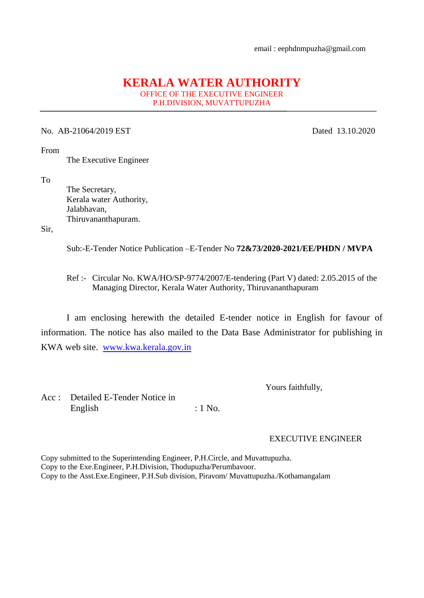## **KERALA WATER AUTHORITY**

OFFICE OF THE EXECUTIVE ENGINEER P.H.DIVISION, MUVATTUPUZHA

## No. AB-21064/2019 EST Dated 13.10.2020

From

The Executive Engineer

To

 The Secretary, Kerala water Authority, Jalabhavan, Thiruvananthapuram.

Sir,

Sub:-E-Tender Notice Publication –E-Tender No **72&73/2020-2021/EE/PHDN / MVPA**

 Ref :- Circular No. KWA/HO/SP-9774/2007/E-tendering (Part V) dated: 2.05.2015 of the Managing Director, Kerala Water Authority, Thiruvananthapuram

I am enclosing herewith the detailed E-tender notice in English for favour of information. The notice has also mailed to the Data Base Administrator for publishing in KWA web site. [www.kwa.kerala.gov.in](http://www.kwa.kerala.gov.in/)

Yours faithfully,

Acc : Detailed E-Tender Notice in English : 1 No.

## EXECUTIVE ENGINEER

Copy submitted to the Superintending Engineer, P.H.Circle, and Muvattupuzha. Copy to the Exe.Engineer, P.H.Division, Thodupuzha/Perumbavoor. Copy to the Asst.Exe.Engineer, P.H.Sub division, Piravom/ Muvattupuzha./Kothamangalam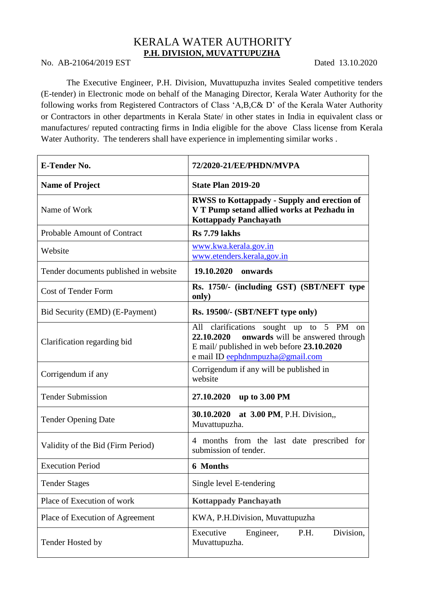## KERALA WATER AUTHORITY **P.H. DIVISION, MUVATTUPUZHA**

No. AB-21064/2019 EST Dated 13.10.2020

The Executive Engineer, P.H. Division, Muvattupuzha invites Sealed competitive tenders (E-tender) in Electronic mode on behalf of the Managing Director, Kerala Water Authority for the following works from Registered Contractors of Class 'A,B,C& D' of the Kerala Water Authority or Contractors in other departments in Kerala State/ in other states in India in equivalent class or manufactures/ reputed contracting firms in India eligible for the above Class license from Kerala Water Authority. The tenderers shall have experience in implementing similar works .

| <b>E-Tender No.</b>                   | 72/2020-21/EE/PHDN/MVPA                                                                                                                                                                   |
|---------------------------------------|-------------------------------------------------------------------------------------------------------------------------------------------------------------------------------------------|
| <b>Name of Project</b>                | <b>State Plan 2019-20</b>                                                                                                                                                                 |
| Name of Work                          | <b>RWSS to Kottappady - Supply and erection of</b><br>V T Pump setand allied works at Pezhadu in<br><b>Kottappady Panchayath</b>                                                          |
| <b>Probable Amount of Contract</b>    | <b>Rs</b> 7.79 lakhs                                                                                                                                                                      |
| Website                               | www.kwa.kerala.gov.in<br>www.etenders.kerala,gov.in                                                                                                                                       |
| Tender documents published in website | 19.10.2020 onwards                                                                                                                                                                        |
| <b>Cost of Tender Form</b>            | Rs. 1750/- (including GST) (SBT/NEFT type<br>only)                                                                                                                                        |
| Bid Security (EMD) (E-Payment)        | Rs. 19500/- (SBT/NEFT type only)                                                                                                                                                          |
| Clarification regarding bid           | All clarifications sought up to 5 PM<br><sub>on</sub><br>22.10.2020<br>onwards will be answered through<br>E mail/ published in web before 23.10.2020<br>e mail ID eephdnmpuzha@gmail.com |
| Corrigendum if any                    | Corrigendum if any will be published in<br>website                                                                                                                                        |
| <b>Tender Submission</b>              | <b>27.10.2020</b><br>up to 3.00 PM                                                                                                                                                        |
| <b>Tender Opening Date</b>            | 30.10.2020 at 3.00 PM, P.H. Division,,<br>Muvattupuzha.                                                                                                                                   |
| Validity of the Bid (Firm Period)     | 4 months from the last date prescribed for<br>submission of tender.                                                                                                                       |
| <b>Execution Period</b>               | <b>6 Months</b>                                                                                                                                                                           |
| <b>Tender Stages</b>                  | Single level E-tendering                                                                                                                                                                  |
| Place of Execution of work            | <b>Kottappady Panchayath</b>                                                                                                                                                              |
| Place of Execution of Agreement       | KWA, P.H.Division, Muvattupuzha                                                                                                                                                           |
| Tender Hosted by                      | Division,<br>Executive<br>P.H.<br>Engineer,<br>Muvattupuzha.                                                                                                                              |